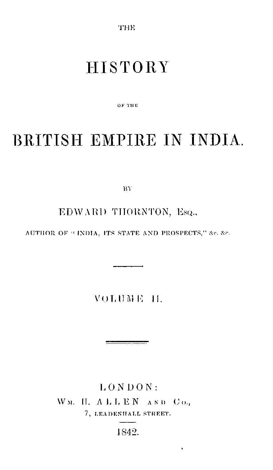THE

## **HISTORY**

ок тик

# BRITISH EMPIRE IN INDIA.

RY.

EDWARD THORNTON, Esq.,

AUTHOR OF "INDIA, ITS STATE AND PROSPECTS," &c. &c.

**VOLUME 11.** 

 $LONDON$ : WM. H. ALLEN AND Co., 7, LEADENHALL STREET.

1842.

 $\blacksquare$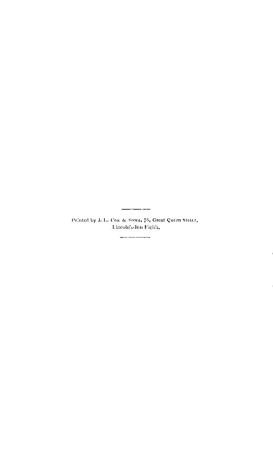$\frac{1}{1-\frac{1}{2}}\left( \frac{1}{1-\frac{1}{2}}\right) \left( \frac{1}{1-\frac{1}{2}}\right) \left( \frac{1}{1-\frac{1}{2}}\right) \left( \frac{1}{1-\frac{1}{2}}\right) \left( \frac{1}{1-\frac{1}{2}}\right) \left( \frac{1}{1-\frac{1}{2}}\right) \left( \frac{1}{1-\frac{1}{2}}\right) \left( \frac{1}{1-\frac{1}{2}}\right) \left( \frac{1}{1-\frac{1}{2}}\right) \left( \frac{1}{1-\frac{1}{2}}\right) \left( \frac{1}{1-\frac{1}{2}}\$ Printed by J. L. Cox & Sons, 75, Great Queen Street, Lincoln's-lim Fields,  $\frac{1}{1-\frac{1}{1-\frac{1}{1-\frac{1}{1-\frac{1}{1-\frac{1}{1-\frac{1}{1-\frac{1}{1-\frac{1}{1-\frac{1}{1-\frac{1}{1-\frac{1}{1-\frac{1}{1-\frac{1}{1-\frac{1}{1-\frac{1}{1-\frac{1}{1-\frac{1}{1-\frac{1}{1-\frac{1}{1-\frac{1}{1-\frac{1}{1-\frac{1}{1-\frac{1}{1-\frac{1}{1-\frac{1}{1-\frac{1}{1-\frac{1}{1-\frac{1}{1-\frac{1}{1-\frac{1}{1-\frac{1}{1-\frac{1}{1-\frac{1}{1-\frac{1}{1-\frac{1}{1-\frac{1$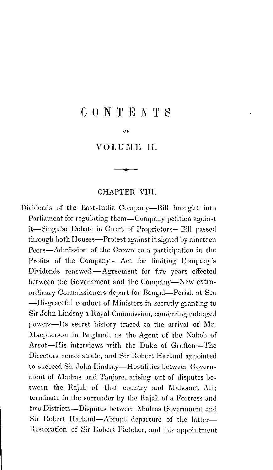### **CONTENTS**

OF.

**VOLUME IL** 

#### CHAPTER VIII.

Dividends of the East-India Company-Bill brought into Parliament for regulating them—Company petition against it-Singular Debate in Court of Proprietors-Bill passed through both Houses-Protest against it signed by nineteen Peers-Admission of the Crown to a participation in the Profits of the Company-Act for limiting Company's Dividends renewed - Agreement for five years effected between the Government and the Company-New extraordinary Commissioners depart for Bengal—Perish at Sea -Disgraeeful conduct of Ministers in secretly granting to Sir John Lindsay a Royal Commission, conferring enlarged powers-Its secret history traced to the arrival of Mr. Maepherson in England, as the Agent of the Nabob of Areot-His interviews with the Duke of Grafton-The Directors remonstrate, and Sir Robert Harland appointed to succeed Sir John Lindsay-Hostilities between Government of Madras and Tanjore, arising out of disputes between the Rajah of that country and Mahomet Ali; terminate in the surrender by the Rajah of a Fortress and two Districts—Disputes between Madras Government and Sir Robert Harland-Abrupt departure of the latter-Restoration of Sir Robert Fletcher, and his appointment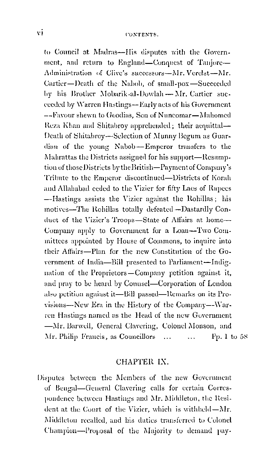to Council at Madras-His disputes with the Government, and return to England-Conquest of Tanjore-Administration of Clive's successors-Mr. Verelst-Mr. Cartier-Death of the Nabob, of small-pox-Succeeded by his Brother Mobarik al-Dowlah - Mr. Cartier succeeded by Warren Hastings--Early acts of his Government --Favour shewn to Goodias. Son of Nuncomar-Mahomed Reza Khan and Shitabroy apprehended; their acquittal-Death of Shitabroy-Selection of Munny Begum as Guardian of the young Nabob-Emperor transfers to the Mahrattas the Districts assigned for his support—Resumption of those Districts by the British-Payment of Company's Tribute to the Emperor discontinued-Districts of Korah and Allahabad ceded to the Vizier for fifty Laes of Rupecs -Hastings assists the Vizier against the Rohillas; his motives-The Rohillas totally defeated-Dastardly Conduet of the Vizier's Troops-State of Affairs at home-Company apply to Government for a Loan-Two Committees appointed by House of Commons, to inquire into their Affairs—Plan for the new Constitution of the Government of India-Bill presented to Parliament-Indignation of the Proprietors—Company petition against it, and pray to be heard by Connsel-Corporation of London also petition against it-Bill passed-Remarks on its Provisions—New Era in the History of the Company—Warren Hastings named as the Head of the new Government -Mr. Barwell, General Clavering, Colonel Monson, and Mr. Philip Francis, as Councillors ... Pp. 1 to 58  $\ddotsc$ 

#### CHAPTER IX.

Disputes between the Members of the new Government of Bengal-General Clavering calls for certain Correspondence between Hastings and Mr. Middleton, the Resident at the Court of the Vizier, which is withheld—Mr. Middleton recalled, and his duties transferred to Colonel Champion-Proposal of the Majority to demand pay-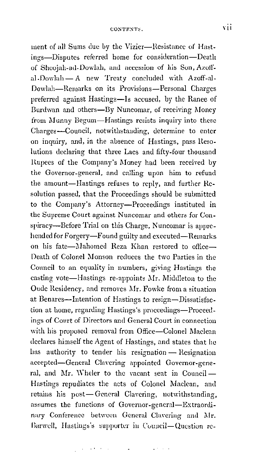ment of all Sums due by the Vizier-Resistance of Hastings-Disputes referred home for consideration-Death of Shoojah-ad-Dowlah, and accession of his Son, Azoffal.Dowlah - A new Treaty concluded with Azoff-al-Dowlah-Reruarks on its Provisions-Personal Charges preferred against Hastings-Is accused, by the Ranee of Burdwan and others-By Nuncomar, of receiving Money from Munny Begum-Hastings resists inquiry into these Charges-Council, notwithstanding, determine to enter on inquiry, and, in the absence of Hastings, pass Resolutions declaring that three Lacs and fifty-four thousand ltupees of the Company's Money had been received by the Governor-general, and calling upon him to refund the amount-Hastings refuses to reply, and further Resolution passed, that the Proceedings should be submitted to the Company's Attorney-Proceedings instituted in the Supreme Court against Nuncomar and others for Conspiracy-Before Trial on this Charge, Nuncomar is apprehended for Forgery-Found guilty and executed-Remarks on his fate-Mahomed Reza Khan restored to office-Death of Colonel Monson reduces the two Parties in the Conncil to an equality in numbers, giving Hastings the casting vote-Hastings re-appoints Mr. Middleton to the Oude Residency, and removes Mr. Fowke from a situation at Benares-Intention of Hastings to resign-Dissatisfaction at home, regarding Hastings's proceedings-Proceedings of Court of Directors and General Court in connection with his proposed removal from Office-Colonel Maclean declares himself the Agent of Hastings. and states that he has authority to tender his resignation - Resignation accepted-General Clavering appointed Governor-general, and Mr. Wheler to the vacant seat in Council-Hastings repudiates the acts of Colonel Maclean, and retains his post-General Clavering, notwithstanding. assumes the functions of Governor-general-Extraordinary Conference between General Clavering and Mr. Barwell, Hastings's supporter in Council-Question re-

والمتعوض والمتواصل والمتعاقلا والمتعاري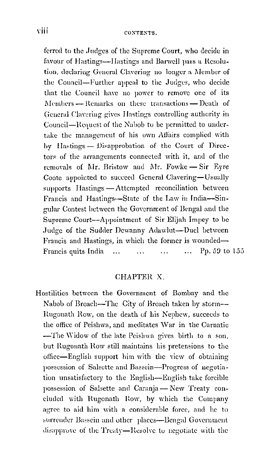ferred to the Judges of the Supreme Court, who decide in favour of Hastings--Hastings and Barwell pass a Resolution, declaring General Clavering no longer a Member of the Conneil-Further appeal to the Judges, who decide that the Council have no power to remove one of its Members - Remarks on these transactions - Death of General Clavering gives Hastings controlling authority in Council—Request of the Nabob to be permitted to undertake the management of his own Affairs complied with by Hastings - Disapprobation of the Court of Directors of the arrangements connected with it, and of the removals of Mr. Bristow and Mr. Fowke - Sir Eyre Coote appointed to succeed General Clavering-Usually supports Hastings — Attempted reconciliation between Francis and Hastings-State of the Law in India-Singular Contest between the Government of Bengal and the Supreme Court--Appointment of Sir Elijah Impey to be Judge of the Sudder Dewanny Adawlut-Duel between Francis and Hastings, in which the former is wounded-... Pp. 59 to  $155$ Francis quits India  $\mathcal{L}_{\mathcal{A}}$  $\mathbf{r}$  $\ddotsc$ 

#### CHAPTER X.

Hostilities between the Government of Bombay and the Nabob of Broach-The City of Broach taken by storm--Rugonath Row, on the death of his Nephew, succeeds to the office of Peishwa, and meditates War in the Carnatic -The Widow of the late Peishwa gives birth to a son, but Rugonath Row still maintains his pretensions to the office-English support him with the view of obtaining possession of Salsette and Bassein-Progress of negotiation unsatisfactory to the English-English take forcible possession of Salsette and Caranja - New Treaty concluded with Rugonath Row, by which the Company agree to aid him with a considerable force, and he to surrender Bassein and other places-Bengal Government disapprove of the Treaty-Resolve to negotiate with the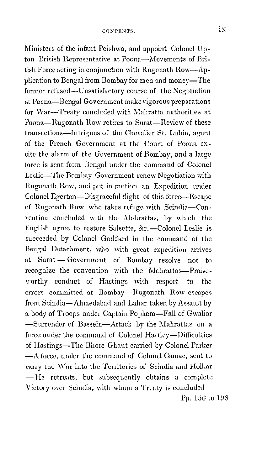Ministers of the infant Peishwa, and appoint Colonel Upton British Representative at Poona-Movements of British Force acting in conjunction with Rugonath Row-Application to Bengal from Bombay for men and money-The former refused-Unsatisfactory course of the Negotiation at Poona-Bengal Government make vigorous preparations for War-Treaty concluded with Mahratta authorities at Poona-Rugonath How retires to Surat-Review of these transactions-Intrigues of the Chevalier St. Lubin, agent of the French Goyernment at the Court of Poona excite the alarm of the Goyernment of Bombay, and a large force is sent from Bengal under the command of Colonel Leslie-The Bombay Government renew Negotiation with Itugonath How, and put in motion an Expedition under Colonel Egerton-Disgraceful flight of this force-Escape of Rugonath How, who takes refuge with Scindia-Con vention concluded with the Mahrattas, by which the English agree to restore Salsette, &c.-Colonel Leslie is succeeded by Colonel Goddard in the command of the Bengal Detachment, who with great expedition arrives at Surat-Government of Bombay resolve not to recognize the convention with the Mahrattas-Praise. worthy conduct of Hastings with respect to the errors committed at Bombay-Rugonath Row escapes from Scindia-Ahmedabad and Lahar taken by Assault by a body of Troops under Captain Popham-Fall of Gwalior -Surrender of Bassein-Attack by the Mahrattas on a force under the command of Colonel Hartley-Difficulties of Hastings-The Bhore Ghaut carried by Colonel Parker -A force, under the command of Colonel Camac, sent to carry the War into the Territories of Scindia and Holkar - He retreats, but subsequently obtains a complete Victory over Scindia, with whom a Treaty is concluded  $Pp. 156$  to  $198$ 

ix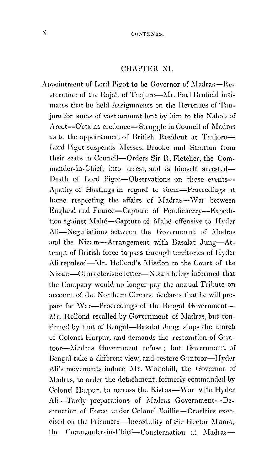#### CHAPTER XI.

Appointment of Lord Pigot to be Governor of Madras-Restoration of the Rajah of Tanjore-Mr. Paul Benfield intimates that he held Assignments on the Revenues of Tanjore for sums of vast amount lent by him to the Nabob of Arcot--Obtains credence-Struggle in Council of Madras as to the appointment of British Resident at Tanjore-Lord Pigot suspends Messrs, Brooke and Stratton from their seats in Council—Orders Sir R. Fletcher, the Commander-in-Chief, into arrest, and is himself arrested-Death of Lord Pigot-Observations on these events--Apathy of Hastings in regard to them-Proceedings at home respecting the affairs of Madras-War between Eugland and France-Capture of Pondicherry--Expedition against Mahé-Capture of Mahé offensive to Hyder Ali-Negotiations between the Government of Madras and the Nizam-Arrangement with Basalat Jung-Attempt of British force to pass through territories of Hyder Ali repulsed—Mr. Hollond's Mission to the Court of the Nizam—Characteristic letter—Nizam being informed that the Company would no longer pay the annual Tribute on account of the Northern Circars, declares that he will prepare for War—Proceedings of the Bengal Government— Mr. Hollond recalled by Government of Madras, but continued by that of Bengal—Basalat Jung stops the march of Colonel Harpur, and demands the restoration of Guntoor-Madras Government refuse; but Government of Bengal take a different view, and restore Guntoor-Hyder Ali's movements induce Mr. Whitehill, the Governor of Madras, to order the detachment, formerly commanded by Colonel Harpur, to recross the Kistna-War with Hyder Ali-Tardy preparations of Madras Government-Destruction of Force under Colonel Baillie-Cruelties exercised on the Prisouers-Incredulity of Sir Heetor Munro, the Commander-in-Chief-Consternation at Madras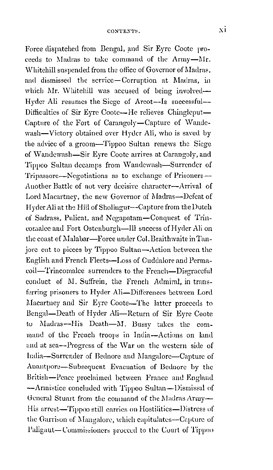Force dispatched from Bengal, and Sir Eyre Coote proceeds to Madras to take command of the Army-Mr. Whitehill snspended from the office of Governor of Madras, and dismissed the service-Corruption at Madras, in which Mr. Whitehill was accused of being involved-Hyder Ali resumes the Siege of Arcot-Is successful-Difficulties of Sir Eyre Coote-He relieves Chingleput-Capture of the Fort of Carangoly-Capture of Wandewash-Victory obtained over Hyder Ali, who is saved by the advice of a groom-Tippoo Sultan renews the Siege of Wandewash-Sir Eyre Coote arrives at Carangoly, and Tippoo Sultan decamps from Wandewash-Surrender of Tripassore-Negotiations as to exchange of Prisoners-Another Battle of not very deeisive character--Arrival of Lord Macartney, the new Governor of Madras-Defeat of Hyder Ali at the Hill of Sholingur--Capture from the Dutch of Sadrass, Pnlicat, and Negapatam-Conquest of Trincomalee and Fort Ostenburgh-Ill sneeess of Hyder Ali on the coast of Malabar-Force under Col. Braithwaite in Tanjor0 cut to pieces by Tippoo Sultan-Action between the English and French Fleets-Loss of Cuddalore and Pennacoil-1'rincomalee surrenders to the French-Disgraceful conduct of M. Suffrein, the French Admiral, in transferring prisoners to Hyder Ali-Differences between Lord Macartney and Sir Eyre Coote-The latter proceeds to Bengal-Death of Hyder Ali-Return of Sir Eyre Coote to  $Madras-His$  Death- $M$ . Bussy takes the command of the French troops in India-Actions on lanll and at sea--Progress of the War on the western side of India-Snrrender of Bednore and Mangalore-Capture of Anantpore-Subsequent Evacuation of Bednore by the British-Peace proclaimed between France and England --Armistice concluded with Tippoo Sultan-Dismissal of General Stuart from the command of the Madras Army--His arrest-Tippoo still carries on Hostilities-Distress of the Garrison of Mangalore, which capitulates-Capture of Paligaut-Commissioners proceed to the Court of Tippoo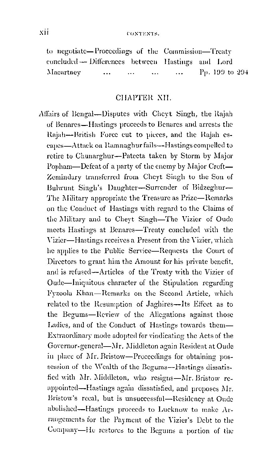to negotiate-Proceedings of the Commission-Treaty concluded -- Differences between Hastings and Lord Pp. 199 to 294 Macartney  $\ddotsc$  $\ddotsc$  $\ddotsc$  $\ddotsc$ 

#### CHAPTER XII

Affairs of Bengal-Disputes with Cheyt Singh, the Rajah of Benares—Hastings proceeds to Benares and arrests the Rajah--British Force cut to pieces, and the Rajah escapes—Attack on Ramnaghur fails—Hastings compelled to retire to Chunarghur-Patecta taken by Storm by Major Popham—Defeat of a party of the enemy by Major Croft— Zemindary transferred from Cheyt Singh to the Son of Bulwunt Singh's Daughter-Surrender of Bidzeglur-The Military appropriate the Treasure as Prize—Remarks on the Conduct of Hastings with regard to the Claims of the Military and to Cheyt Singh-The Vizier of Oude meets Hastings at Benares-Treaty concluded with the Vizier-Hastings receives a Present from the Vizier, which he applies to the Public Service-Requests the Court of Directors to grant him the Amount for his private benefit. and is refused-Articles of the Treaty with the Vizier of Oude-Iniquitous character of the Stipulation regarding Fyzoola Khan-Remarks on the Second Article, which related to the Resumption of Jaghires-Its Effect as to the Begums-Review of the Allegations against those Ladies, and of the Conduct of Hastings towards them-Extraordinary mode adopted for vindicating the Acts of the Governor-general-Mr. Middleton again Resident at Oude in place of Mr. Bristow—Proceedings for obtaining possession of the Wealth of the Begums-Hastings dissatisfied with Mr. Middleton, who resigns-Mr. Bristow reappointed—Hastings again dissatisfied, and proposes Mr. Bristow's recal, but is unsuccessful-Residency at Oude abolished-Hastings proceeds to Lucknow to make Arrangements for the Payment of the Vizier's Debt to the Company-He restores to the Begums a portion of the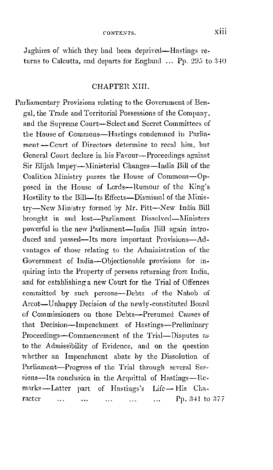Jaghires of which they had been deprived-Hastings returns to Calcutta, and departs for England  $\ldots$  Pp. 295 to 340

#### CHAPTER XIII.

Parliamentary Provisions relating to the Government of Bengal, the Trade and Territorial Possessions of the Company, and the Supreme Court-Select and Secret Committees of the House of Commons-Hastings condemned in Parliament-Court of Directors determine to recal him, but General Court declare in his Favour—Proceedings against Sir Elijah Impey—Ministerial Changes—India Bill of the Coalition Ministry passes the House of Commons-Opposed in the House of Lords--Rumour of the King's Hostility to the Bill-Its Effects-Dismissal of the Ministry-New Ministry formed by Mr. Pitt-New India Bill brought in and lost-Parliament Dissolved-Ministers powerful in the new Parliament-India Bill again introduced and passed--Its more important Provisions-Advantages of those relating to the Administration of the Government of India-Objectionable provisions for inquiring into the Property of persons returning from India, and for establishing a new Court for the Trial of Offences committed by such persons--Debts of the Nabob of Arcot—Unhappy Decision of the newly-constituted Board of Commissioners on those Debts-Presumed Causes of that Decision-Impeachment of Hastings-Preliminary Proceedings-Commencement of the Trial-Disputes as to the Admissibility of Evidence, and on the question whether an Impeachment abate by the Dissolution of Parliament-Progress of the Trial through several Sessions-Its conclusion in the Acquittal of Hastings-Remarks-Latter part of Hastings's Life-His Character Pp. 341 to 377  $\mathbf{r}$  $\mathbf{1.1}$  $\mathbf{r}$  $\ddotsc$ 

viii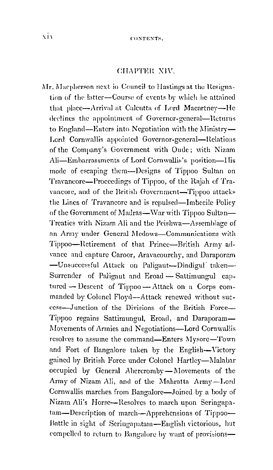#### CHAPTER XIV.

Mr. Macpherson next in Council to Hastings at the Resignation of the latter-Course of events by which he attained that place—Arrival at Calcutta of Lord Macartney—He declines the appointment of Governor-general-Returns to England—Enters into Negotiation with the Ministry— Lord Cornwallis appointed Governor-general-Relations of the Company's Government with Oude; with Nizam Ali-Embarrassments of Lord Cornwallis's position-Ilis mode of escaping them—Designs of Tippoo Sultan on Travancore—Proceedings of Tippoo, of the Rajah of Travancore, and of the British Government-Tippoo attacks the Lines of Travancore and is repulsed—Imbecile Policy of the Government of Madras—War with Tippoo Sultan— Treaties with Nizam Ali and the Peishwa-Assemblage of an Army under General Medows-Communications with Tippoo-Retirement of that Prince-British Army advance and capture Caroor, Aravacourchy, and Daraporam -Unsuccessful Attack on Paligaut-Dindigul taken-Surrender of Paligaut and Eroad - Sattimungul captured -- Descent of Tippoo -- Attack on a Corps commanded by Colonel Floyd--Attack renewed without success-Junction of the Divisions of the British Force-Tippoo regains Sattimungul, Eroad, and Daraporam-Movements of Armies and Negotiations-Lord Cornwallis resolves to assume the command—Enters Mysore—Town and Fort of Bangalore taken by the English-Victory gained by British Force under Colonel Hartley-Malabar occupied by General Abercromby-Movements of the Army of Nizam Ali, and of the Mahratta Army-Lord Cornwallis marches from Bangalore-Joined by a body of Nizam Ali's Horse-Resolves to march upon Seringapatam-Description of march-Apprehensions of Tippoo-Battle in sight of Seringapatam-English victorious, but compelled to return to Bangalore by want of provisions-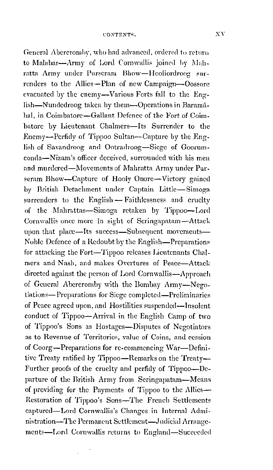General Abercromby, who had advanced, ordered to return to Malabar-Army of Lord Cornwallis joined by Mahratta Army under Purseram Bhow-Hooliordroog surrenders to the Allies-Plan of new Campaign-Oossore evacuated by the enemy-Various Forts fall to the English—Nundedroog taken by them—Operations in Baramahal, in Coimbatore-Gallant Defence of the Fort of Coimbatore by Lieutenant Chalmers-Its Surrender to the Enemy-Perfidy of Tippoo Sultan--Capture by the English of Savandroog and Ootradroog-Siege of Goorumconda-Nizam's officer deceived, surrounded with his men and murdered—Movements of Mahratta Army under Purseram Bhow-Capture of Hooly Onore-Victory gained by British Detachment under Captain Little-Simoga surrenders to the English -- Faithlessness and crucity of the Mahrattas-Simoga retaken by Tippoo-Lord Cornwallis once more in sight of Seringapatam-Attack upon that place-Its success-Subsequent movements-Noble Defence of a Redoubt by the English—Preparations for attacking the Fort-Tippoo releases Lieutenants Chalmers and Nash, and makes Overtures of Peace-Attack directed against the person of Lord Cornwallis-Approach of General Abercromby with the Bombay Army-Negotiations—Preparations for Siege completed—Preliminaries of Peace agreed upon, and Hostilities suspended-Insolent conduct of Tippoo-Arrival in the English Camp of two of Tippoo's Sons as Hostages-Disputes of Negotiators as to Revenue of Territories, value of Coins, and cession of Coorg-Preparations for re-commencing War-Definitive Treaty ratified by Tippoo—Remarks on the Treaty— Further proofs of the cruelty and perfidy of Tippoo-Departure of the British Army from Seringapatam—Means of providing for the Payments of Tippoo to the Allies-Restoration of Tippoo's Sons-The French Settlements captured-Lord Cornwallis's Changes in Internal Administration-The Permanent Settlement-Judicial Arrangements-Lord Cornwallis returns to England-Succeeded